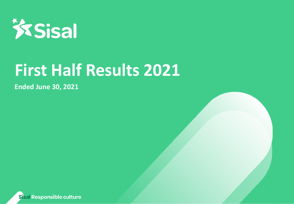

# **First Half Results 2021**

10/09/2021 12:00:00 percent

**Sottotitolo Cover Ended June 30, 2021**

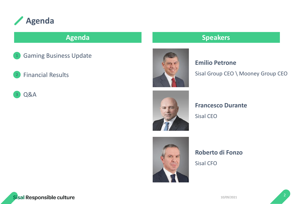

- 1 Gaming Business Update
- 2 Financial Results
- 3 Q&A



### **Agenda Speakers**

### **Emilio Petrone**

Sisal Group CEO \ Mooney Group CEO



### **Francesco Durante**

Sisal CEO



### **Roberto di Fonzo**

Sisal CFO

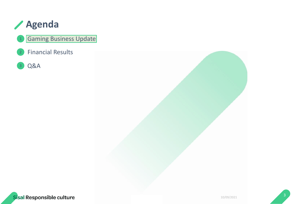

### Gaming Business Update

2 Financial Results

Q&A 3

1



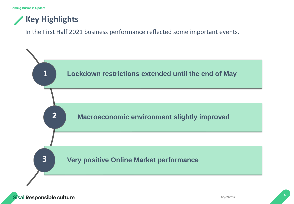## **Key Highlights**

In the First Half 2021 business performance reflected some important events.

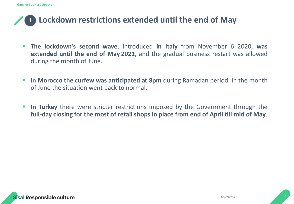### **Lockdown restrictions extended until the end of May 1**

- **The lockdown's second wave**, introduced **in Italy** from November 6 2020, **was extended until the end of May 2021**, and the gradual business restart was allowed during the month of June.
- **1 In Morocco the curfew was anticipated at 8pm** during Ramadan period. In the month of June the situation went back to normal.
- **2 In Turkey** there were stricter restrictions imposed by the Government through the **full-day closing for the most of retail shops in place from end of April till mid of May**.

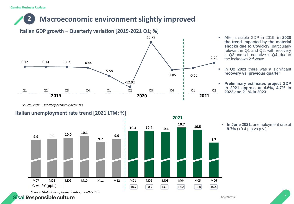### **Macroeconomic environment slightly improved 2**



*Source: Istat – Quarterly economic accounts*

### **Italian unemployment rate trend [2021 LTM; %]**



- After a stable GDP in 2019, **in 2020 the trend impacted by the material shocks due to Covid-19**, particularly relevant in Q1 and Q2, with recovery in Q3 and still negative in Q4, due to the lockdown 2<sup>nd</sup> wave.
- In **Q2 2021** there was a significant **recovery vs. previous quarter**
- **Preliminary estimates project GDP in 2021 approx. at 4.6%, 4.7% in 2022 and 2.1% in 2023.**

▪ **In June 2021,** unemployment rate at **9.7%** (+0.4 p.p.vs p.y.)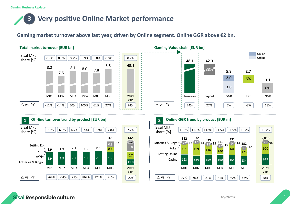### **Very positive Online Market performance 3**

### **Gaming market turnover above last year, driven by Online segment. Online GGR above €2 bn.**

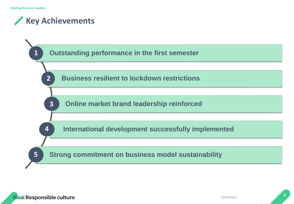## **Key Achievements**

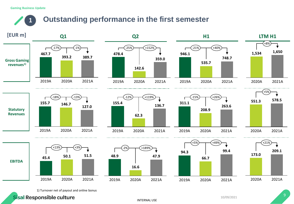#### **Gaming Business Update**

### **Outstanding performance in the first semester 1**



1) Turnover net of payout and online bonus

**Sisal Responsible culture** 

INTERNAL USE

10/09/2021 9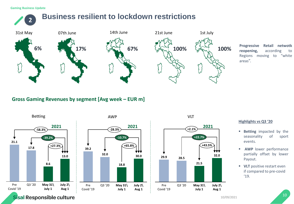### **2 Business resilient to lockdown restrictions**



**reopening,** according to Regions moving to "white areas".

### **Gross Gaming Revenues by segment [Avg week – EUR m]**







#### **Highlights vs Q3 '20**

- **Executing** impacted by the seasonality of sport events.
- **EXECUTE:** AWP lower performance partially offset by lower Payout.
- **VLT** positive restart even if compared to pre-covid '19.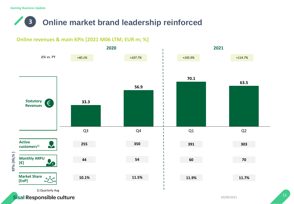## **3 Online market brand leadership reinforced**

### **Online revenues & main KPIs [2021 M06 LTM; EUR m; %]**

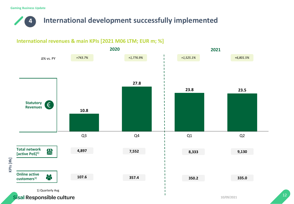## **4 International development successfully implemented**

### **International revenues & main KPIs [2021 M06 LTM; EUR m; %]**

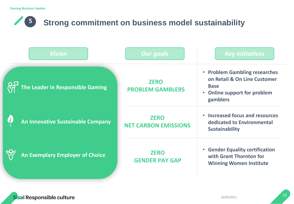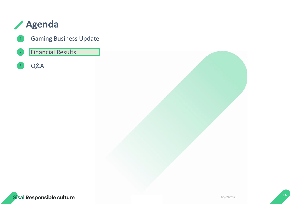## **Agenda**

Gaming Business Update 1

#### 2 Financial Results

Q&A 3



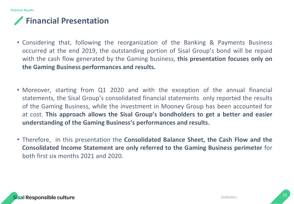## **Financial Presentation**

- Considering that, following the reorganization of the Banking & Payments Business occurred at the end 2019, the outstanding portion of Sisal Group's bond will be repaid with the cash flow generated by the Gaming business, **this presentation focuses only on the Gaming Business performances and results.**
- Moreover, starting from Q1 2020 and with the exception of the annual financial statements, the Sisal Group's consolidated financial statements only reported the results of the Gaming Business, while the investment in Mooney Group has been accounted for at cost. **This approach allows the Sisal Group's bondholders to get a better and easier understanding of the Gaming Business's performances and results.**
- Therefore, in this presentation the **Consolidated Balance Sheet, the Cash Flow and the Consolidated Income Statement are only referred to the Gaming Business perimeter** for both first six months 2021 and 2020.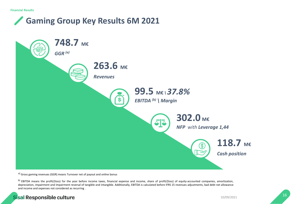## **Gaming Group Key Results 6M 2021**



a) Gross gaming revenues (GGR) means Turnover net of payout and online bonus

b) EBITDA means the profit/(loss) for the year before income taxes, financial expense and income, share of profit/(loss) of equity-accounted companies, amortization, depreciation, impairment and impairment reversal of tangible and intangible. Additionally, EBITDA is calculated before IFRS 15 revenues adjustments, bad debt net allowance and income and expenses not considered as recurring .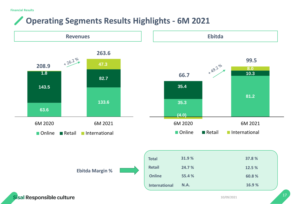## **Operating Segments Results Highlights - 6M 2021**

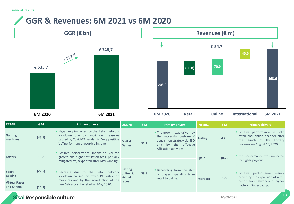### **GGR & Revenues: 6M 2021 vs 6M 2020**

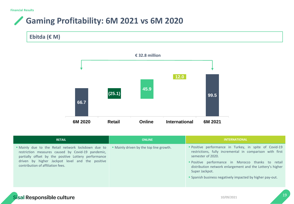### **Gaming Profitability: 6M 2021 vs 6M 2020 Contract Contract Contract Contract**

![](_page_18_Figure_2.jpeg)

![](_page_18_Figure_3.jpeg)

| <b>RETAIL</b>                                                                                                                                                                                                                                           | <b>ONLINE</b>                           | <b>INTERNATIONAL</b>                                                                                                                                                                                                                                                                                                                     |
|---------------------------------------------------------------------------------------------------------------------------------------------------------------------------------------------------------------------------------------------------------|-----------------------------------------|------------------------------------------------------------------------------------------------------------------------------------------------------------------------------------------------------------------------------------------------------------------------------------------------------------------------------------------|
| • Mainly due to the Retail network lockdown due to<br>restriction measures caused by Covid-19 pandemic,<br>partially offset by the positive Lottery performance<br>driven by higher Jackpot level and the positive<br>contribution of affiliation fees. | • Mainly driven by the top line growth. | " Positive performance in Turkey, in spite of Covid-19<br>restrictions, fully incremental in comparison with first<br>semester of 2020.<br>"Positive performance in Morocco thanks to retail<br>distribution network enlargement and the Lottery's higher<br>Super Jackpot.<br>• Spanish business negatively impacted by higher pay-out. |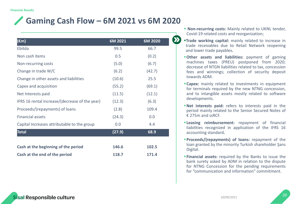## **Gaming Cash Flow – 6M 2021 vs 6M 2020**

| $(\epsilon m)$                                 | 6M 2021 | 6M 2020 |
|------------------------------------------------|---------|---------|
| Ebitda                                         | 99.5    | 66.7    |
| Non cash items                                 | 0.5     | (0.2)   |
| Non-recurring costs                            | (5.0)   | (6.7)   |
| Change in trade W/C                            | (6.2)   | (42.7)  |
| Change in other assets and liabilities         | (10.6)  | 25.5    |
| Capex and acquisition                          | (55.2)  | (69.1)  |
| Net Interests paid                             | (11.5)  | (12.1)  |
| IFRS 16 rental increase/(decrease of the year) | (12.3)  | (6.3)   |
| Proceeds/(repayments) of loans                 | (2.8)   | 109.4   |
| <b>Financial assets</b>                        | (24.3)  | 0.0     |
| Capital Increases attributable to the group    | 0.0     | 4.4     |
| <b>Total</b>                                   | (27.9)  | 68.9    |
|                                                |         |         |
| Cash at the beginning of the period            | 146.6   | 102.5   |
| Cash at the end of the period                  | 118.7   | 171.4   |

- **Non-recurring costs:** Mainly related to UKNL tender, Covid-19 related costs and reorganization;
- ▪**Trade working capital:** mainly related to increase in trade receivables due to Retail Network reopening and lower trade payables.
- ▪**Other assets and liabilities:** payment of gaming machines taxes (PREU) postponed from 2020; decrease of NTGN liabilities related to tax, concession fees and winnings; collection of security deposit towards ADM.
- **Capex:** mainly related to investments in equipment for terminals required by the new NTNG concession, and to intangible assets mostly related to software developments.
- ▪**Net interests paid:** refers to interests paid in the period mainly related to the Senior Secured Notes of € 275m and ssRCF.
- **Example 21 Financial Example 1:** repayment of financial liabilities recognized in application of the IFRS 16 accounting standard**.**
- ▪**Proceeds/(repayments) of loans:** repayment of the loan granted by the minority Turkish shareholder Şans Digital.
- ▪**Financial assets:** required by the Banks to issue the bank surety asked by ADM in relation to the dispute for NTNG Concession for the pending requirements for "communication and information" commitment.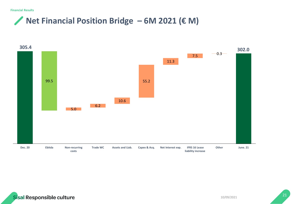## **Net Financial Position Bridge – 6M 2021 (€ M)**

![](_page_20_Figure_2.jpeg)

![](_page_20_Picture_3.jpeg)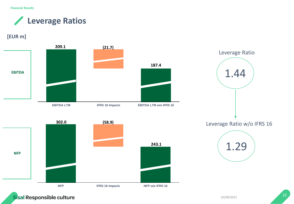**Financial Results**

**Leverage Ratios**  $\sqrt{2}$ 

### **[EUR m]**

![](_page_21_Figure_3.jpeg)

![](_page_21_Picture_4.jpeg)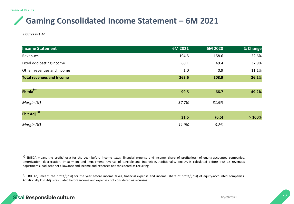## **Gaming Consolidated Income Statement – 6M 2021**

*Figures in € M* 

| <b>Income Statement</b>          | $6M$ 2021 | 6M 2020 | % Change |
|----------------------------------|-----------|---------|----------|
| Revenues                         | 194.5     | 158.6   | 22.6%    |
| Fixed odd betting income         | 68.1      | 49.4    | 37.9%    |
| Other revenues and income        | 1.0       | 0.9     | 11.1%    |
| <b>Total revenues and Income</b> | 263.6     | 208.9   | 26.2%    |
|                                  |           |         |          |
| Ebitda <sup>(a)</sup>            | 99.5      | 66.7    | 49.2%    |
| Margin (%)                       | 37.7%     | 31.9%   |          |
| Ebit Adj <sup>(b)</sup>          | 31.5      | (0.5)   | >100%    |
| Margin (%)                       | 11.9%     | $-0.2%$ |          |

a) EBITDA means the profit/(loss) for the year before income taxes, financial expense and income, share of profit/(loss) of equity-accounted companies, amortization, depreciation, impairment and impairment reversal of tangible and intangible. Additionally, EBITDA is calculated before IFRS 15 revenues adjustments, bad debt net allowance and income and expenses not considered as recurring .

b) EBIT Adj. means the profit/(loss) for the year before income taxes, financial expense and income, share of profit/(loss) of equity-accounted companies. Additionally Ebit Adj is calculated before income and expenses not considered as recurring.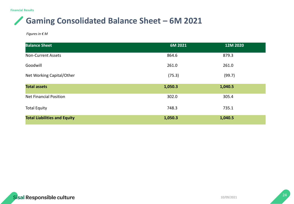**Financial Results**

## **Gaming Consolidated Balance Sheet – 6M 2021**

*Figures in € M* 

| <b>Balance Sheet</b>                | 6M 2021 | 12M 2020 |
|-------------------------------------|---------|----------|
| <b>Non-Current Assets</b>           | 864.6   | 879.3    |
| Goodwill                            | 261.0   | 261.0    |
| Net Working Capital/Other           | (75.3)  | (99.7)   |
| <b>Total assets</b>                 | 1,050.3 | 1,040.5  |
| <b>Net Financial Position</b>       | 302.0   | 305.4    |
| <b>Total Equity</b>                 | 748.3   | 735.1    |
| <b>Total Liabilities and Equity</b> | 1,050.3 | 1,040.5  |

![](_page_23_Picture_4.jpeg)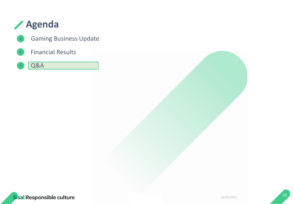## **Agenda**

- Gaming Business Update
- 2 Financial Results
- 3 Q&A

![](_page_24_Picture_4.jpeg)